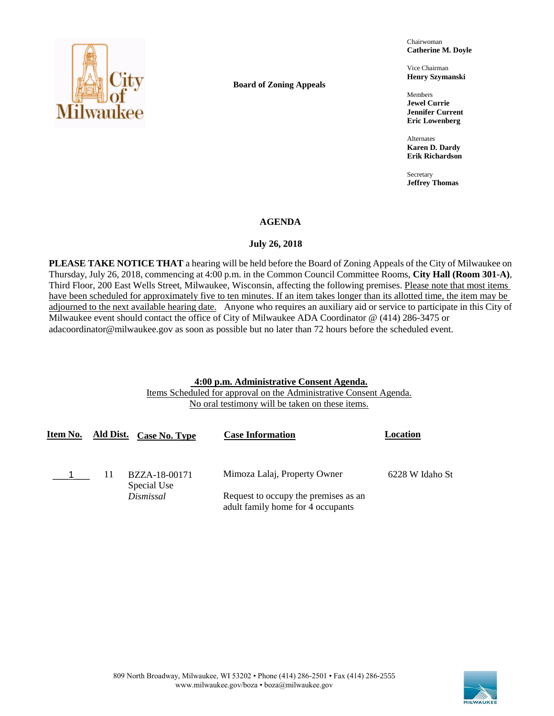

**Board of Zoning Appeals**

Chairwoman **Catherine M. Doyle**

Vice Chairman **Henry Szymanski**

Members **Jewel Currie Jennifer Current Eric Lowenberg**

Alternates **Karen D. Dardy Erik Richardson**

Secretary **Jeffrey Thomas**

# **AGENDA**

# **July 26, 2018**

**PLEASE TAKE NOTICE THAT** a hearing will be held before the Board of Zoning Appeals of the City of Milwaukee on Thursday, July 26, 2018, commencing at 4:00 p.m. in the Common Council Committee Rooms, **City Hall (Room 301-A)**, Third Floor, 200 East Wells Street, Milwaukee, Wisconsin, affecting the following premises. Please note that most items have been scheduled for approximately five to ten minutes. If an item takes longer than its allotted time, the item may be adjourned to the next available hearing date. Anyone who requires an auxiliary aid or service to participate in this City of Milwaukee event should contact the office of City of Milwaukee ADA Coordinator @ (414) 286-3475 or adacoordinator@milwaukee.gov as soon as possible but no later than 72 hours before the scheduled event.

## **4:00 p.m. Administrative Consent Agenda.**

Items Scheduled for approval on the Administrative Consent Agenda. No oral testimony will be taken on these items.

| <u>Item No.</u> |         | <b>Ald Dist.</b> Case No. Type | <b>Case Information</b>                                                   | Location        |
|-----------------|---------|--------------------------------|---------------------------------------------------------------------------|-----------------|
|                 | $\perp$ | BZZA-18-00171                  | Mimoza Lalaj, Property Owner                                              | 6228 W Idaho St |
|                 |         | Special Use<br>Dismissal       | Request to occupy the premises as an<br>adult family home for 4 occupants |                 |

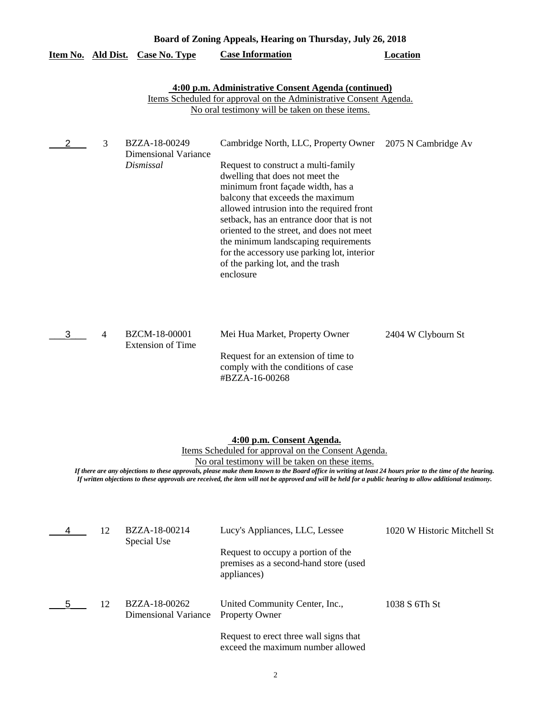|                    | Board of Zoning Appeals, Hearing on Thursday, July 26, 2018 |                                                           |                                                                                                                                                                                                                                                                                                                                                                                                                                                                         |                     |  |  |
|--------------------|-------------------------------------------------------------|-----------------------------------------------------------|-------------------------------------------------------------------------------------------------------------------------------------------------------------------------------------------------------------------------------------------------------------------------------------------------------------------------------------------------------------------------------------------------------------------------------------------------------------------------|---------------------|--|--|
| Item No. Ald Dist. |                                                             | <b>Case No. Type</b>                                      | <b>Case Information</b>                                                                                                                                                                                                                                                                                                                                                                                                                                                 | Location            |  |  |
|                    |                                                             |                                                           | 4:00 p.m. Administrative Consent Agenda (continued)<br>Items Scheduled for approval on the Administrative Consent Agenda.<br>No oral testimony will be taken on these items.                                                                                                                                                                                                                                                                                            |                     |  |  |
| 2                  | 3                                                           | BZZA-18-00249<br><b>Dimensional Variance</b><br>Dismissal | Cambridge North, LLC, Property Owner<br>Request to construct a multi-family<br>dwelling that does not meet the<br>minimum front façade width, has a<br>balcony that exceeds the maximum<br>allowed intrusion into the required front<br>setback, has an entrance door that is not<br>oriented to the street, and does not meet<br>the minimum landscaping requirements<br>for the accessory use parking lot, interior<br>of the parking lot, and the trash<br>enclosure | 2075 N Cambridge Av |  |  |
| 3                  | 4                                                           | BZCM-18-00001<br><b>Extension of Time</b>                 | Mei Hua Market, Property Owner<br>Request for an extension of time to<br>comply with the conditions of case<br>#BZZA-16-00268                                                                                                                                                                                                                                                                                                                                           | 2404 W Clybourn St  |  |  |

**4:00 p.m. Consent Agenda.**

Items Scheduled for approval on the Consent Agenda.

No oral testimony will be taken on these items.

*If there are any objections to these approvals, please make them known to the Board office in writing at least 24 hours prior to the time of the hearing. If written objections to these approvals are received, the item will not be approved and will be held for a public hearing to allow additional testimony.*

|    | BZZA-18-00214<br>Special Use          | Lucy's Appliances, LLC, Lessee                                                             | 1020 W Historic Mitchell St |
|----|---------------------------------------|--------------------------------------------------------------------------------------------|-----------------------------|
|    |                                       | Request to occupy a portion of the<br>premises as a second-hand store (used<br>appliances) |                             |
| 12 | BZZA-18-00262<br>Dimensional Variance | United Community Center, Inc.,<br><b>Property Owner</b>                                    | 1038 S 6Th St               |
|    |                                       | Request to erect three wall signs that<br>exceed the maximum number allowed                |                             |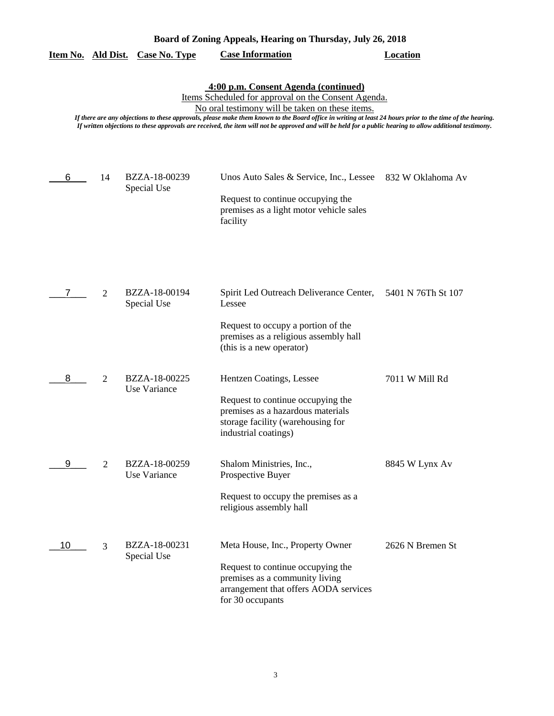| Board of Zoning Appeals, Hearing on Thursday, July 26, 2018 |  |  |  |
|-------------------------------------------------------------|--|--|--|
|                                                             |  |  |  |

|    |                | Item No. Ald Dist. Case No. Type | <b>Case Information</b>                                                                                                                                                                                                                                                                                                                                                                                                                                                  | <b>Location</b>    |
|----|----------------|----------------------------------|--------------------------------------------------------------------------------------------------------------------------------------------------------------------------------------------------------------------------------------------------------------------------------------------------------------------------------------------------------------------------------------------------------------------------------------------------------------------------|--------------------|
|    |                |                                  | 4:00 p.m. Consent Agenda (continued)<br>Items Scheduled for approval on the Consent Agenda.<br>No oral testimony will be taken on these items.<br>If there are any objections to these approvals, please make them known to the Board office in writing at least 24 hours prior to the time of the hearing.<br>If written objections to these approvals are received, the item will not be approved and will be held for a public hearing to allow additional testimony. |                    |
| 6  | 14             | BZZA-18-00239<br>Special Use     | Unos Auto Sales & Service, Inc., Lessee 832 W Oklahoma Av<br>Request to continue occupying the<br>premises as a light motor vehicle sales<br>facility                                                                                                                                                                                                                                                                                                                    |                    |
|    | $\overline{2}$ | BZZA-18-00194<br>Special Use     | Spirit Led Outreach Deliverance Center,<br>Lessee<br>Request to occupy a portion of the<br>premises as a religious assembly hall<br>(this is a new operator)                                                                                                                                                                                                                                                                                                             | 5401 N 76Th St 107 |
| 8  | $\overline{2}$ | BZZA-18-00225<br>Use Variance    | Hentzen Coatings, Lessee<br>Request to continue occupying the<br>premises as a hazardous materials<br>storage facility (warehousing for<br>industrial coatings)                                                                                                                                                                                                                                                                                                          | 7011 W Mill Rd     |
| 9  | $\overline{2}$ | BZZA-18-00259<br>Use Variance    | Shalom Ministries, Inc.,<br>Prospective Buyer<br>Request to occupy the premises as a<br>religious assembly hall                                                                                                                                                                                                                                                                                                                                                          | 8845 W Lynx Av     |
| 10 | 3              | BZZA-18-00231<br>Special Use     | Meta House, Inc., Property Owner<br>Request to continue occupying the<br>premises as a community living<br>arrangement that offers AODA services<br>for 30 occupants                                                                                                                                                                                                                                                                                                     | 2626 N Bremen St   |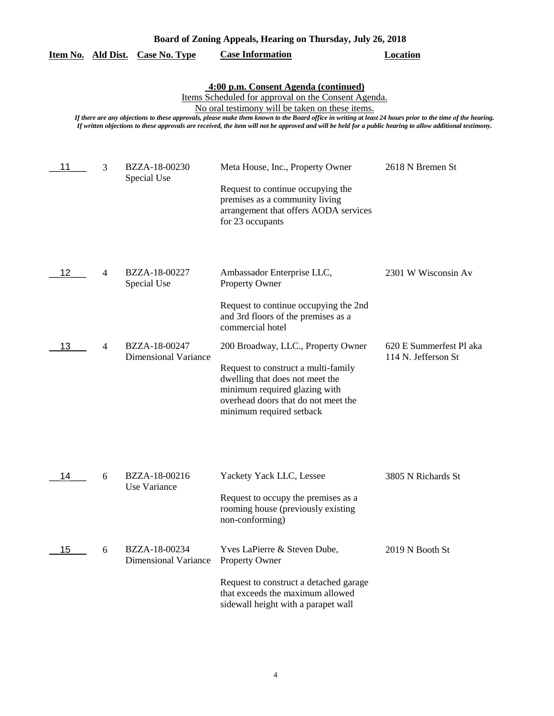| Board of Zoning Appeals, Hearing on Thursday, July 26, 2018 |  |  |  |
|-------------------------------------------------------------|--|--|--|
|                                                             |  |  |  |

|  |  | Item No. Ald Dist. Case No. Type | <b>Case Information</b> | Location |
|--|--|----------------------------------|-------------------------|----------|
|--|--|----------------------------------|-------------------------|----------|

**4:00 p.m. Consent Agenda (continued)**

Items Scheduled for approval on the Consent Agenda.

No oral testimony will be taken on these items.

*If there are any objections to these approvals, please make them known to the Board office in writing at least 24 hours prior to the time of the hearing. If written objections to these approvals are received, the item will not be approved and will be held for a public hearing to allow additional testimony.*

| 11 | 3 | BZZA-18-00230<br>Special Use                 | Meta House, Inc., Property Owner<br>Request to continue occupying the<br>premises as a community living<br>arrangement that offers AODA services<br>for 23 occupants                                             | 2618 N Bremen St                               |
|----|---|----------------------------------------------|------------------------------------------------------------------------------------------------------------------------------------------------------------------------------------------------------------------|------------------------------------------------|
| 12 | 4 | BZZA-18-00227<br>Special Use                 | Ambassador Enterprise LLC,<br>Property Owner                                                                                                                                                                     | 2301 W Wisconsin Av                            |
|    |   |                                              | Request to continue occupying the 2nd<br>and 3rd floors of the premises as a<br>commercial hotel                                                                                                                 |                                                |
| 13 | 4 | BZZA-18-00247<br><b>Dimensional Variance</b> | 200 Broadway, LLC., Property Owner<br>Request to construct a multi-family<br>dwelling that does not meet the<br>minimum required glazing with<br>overhead doors that do not meet the<br>minimum required setback | 620 E Summerfest Pl aka<br>114 N. Jefferson St |
| 14 | 6 | BZZA-18-00216<br><b>Use Variance</b>         | Yackety Yack LLC, Lessee<br>Request to occupy the premises as a<br>rooming house (previously existing<br>non-conforming)                                                                                         | 3805 N Richards St                             |
| 15 | 6 | BZZA-18-00234<br><b>Dimensional Variance</b> | Yves LaPierre & Steven Dube,<br>Property Owner<br>Request to construct a detached garage<br>that exceeds the maximum allowed<br>sidewall height with a parapet wall                                              | 2019 N Booth St                                |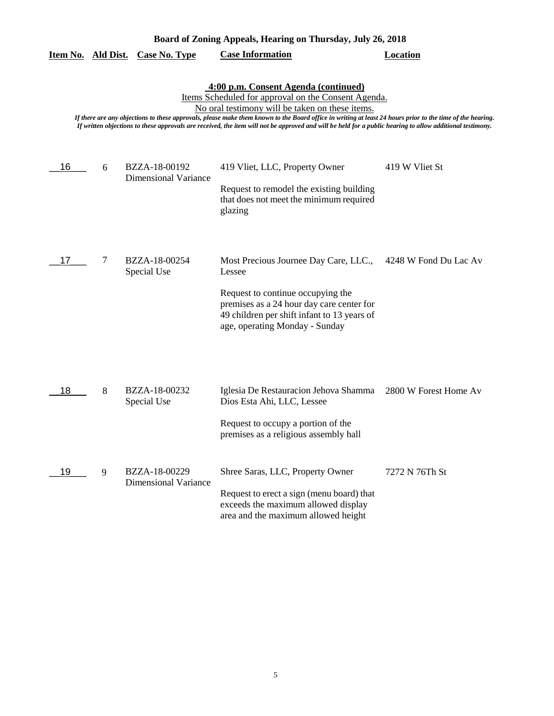|    |   | <u>Item No. Ald Dist. Case No. Type</u>      | <b>Case Information</b>                                                                                                                                                                                                                                                                                                                                                                                                                                                  | Location              |
|----|---|----------------------------------------------|--------------------------------------------------------------------------------------------------------------------------------------------------------------------------------------------------------------------------------------------------------------------------------------------------------------------------------------------------------------------------------------------------------------------------------------------------------------------------|-----------------------|
|    |   |                                              | 4:00 p.m. Consent Agenda (continued)<br>Items Scheduled for approval on the Consent Agenda.<br>No oral testimony will be taken on these items.<br>If there are any objections to these approvals, please make them known to the Board office in writing at least 24 hours prior to the time of the hearing.<br>If written objections to these approvals are received, the item will not be approved and will be held for a public hearing to allow additional testimony. |                       |
| 16 | 6 | BZZA-18-00192<br><b>Dimensional Variance</b> | 419 Vliet, LLC, Property Owner<br>Request to remodel the existing building<br>that does not meet the minimum required<br>glazing                                                                                                                                                                                                                                                                                                                                         | 419 W Vliet St        |
| 17 | 7 | BZZA-18-00254<br>Special Use                 | Most Precious Journee Day Care, LLC.,<br>Lessee<br>Request to continue occupying the<br>premises as a 24 hour day care center for<br>49 children per shift infant to 13 years of<br>age, operating Monday - Sunday                                                                                                                                                                                                                                                       | 4248 W Fond Du Lac Av |
| 18 | 8 | BZZA-18-00232<br>Special Use                 | Iglesia De Restauracion Jehova Shamma 2800 W Forest Home Av<br>Dios Esta Ahi, LLC, Lessee<br>Request to occupy a portion of the<br>premises as a religious assembly hall                                                                                                                                                                                                                                                                                                 |                       |
| 19 | 9 | BZZA-18-00229<br><b>Dimensional Variance</b> | Shree Saras, LLC, Property Owner<br>Request to erect a sign (menu board) that<br>exceeds the maximum allowed display<br>area and the maximum allowed height                                                                                                                                                                                                                                                                                                              | 7272 N 76Th St        |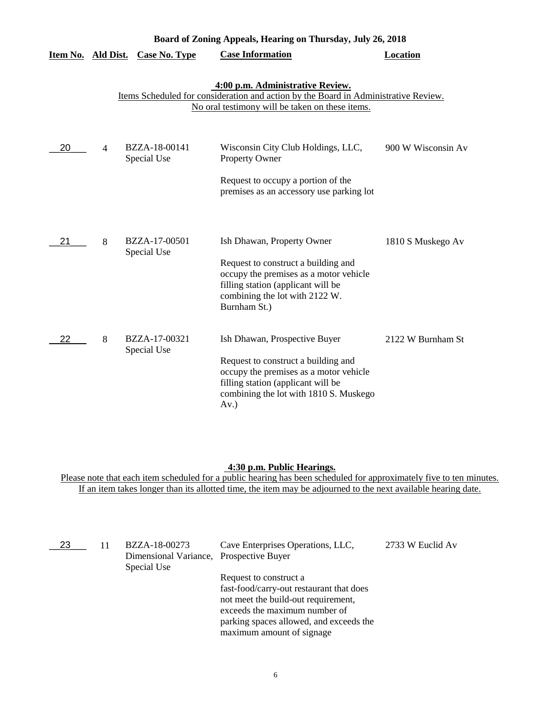|                    | Board of Zoning Appeals, Hearing on Thursday, July 26, 2018 |                              |                                                                                                                                                                                                        |                    |  |  |
|--------------------|-------------------------------------------------------------|------------------------------|--------------------------------------------------------------------------------------------------------------------------------------------------------------------------------------------------------|--------------------|--|--|
| Item No. Ald Dist. |                                                             | <b>Case No. Type</b>         | <b>Case Information</b>                                                                                                                                                                                | Location           |  |  |
|                    |                                                             |                              | 4:00 p.m. Administrative Review.<br>Items Scheduled for consideration and action by the Board in Administrative Review.<br>No oral testimony will be taken on these items.                             |                    |  |  |
| 20                 | $\overline{4}$                                              | BZZA-18-00141<br>Special Use | Wisconsin City Club Holdings, LLC,<br>Property Owner                                                                                                                                                   | 900 W Wisconsin Av |  |  |
|                    |                                                             |                              | Request to occupy a portion of the<br>premises as an accessory use parking lot                                                                                                                         |                    |  |  |
| 21                 | 8                                                           | BZZA-17-00501<br>Special Use | Ish Dhawan, Property Owner<br>Request to construct a building and<br>occupy the premises as a motor vehicle<br>filling station (applicant will be<br>combining the lot with 2122 W.<br>Burnham St.)    | 1810 S Muskego Av  |  |  |
| 22                 | 8                                                           | BZZA-17-00321<br>Special Use | Ish Dhawan, Prospective Buyer<br>Request to construct a building and<br>occupy the premises as a motor vehicle<br>filling station (applicant will be<br>combining the lot with 1810 S. Muskego<br>Av.) | 2122 W Burnham St  |  |  |

#### **4:30 p.m. Public Hearings.**

| 23 | BZZA-18-00273<br>Dimensional Variance, Prospective Buyer<br>Special Use | Cave Enterprises Operations, LLC,        | 2733 W Euclid Av |
|----|-------------------------------------------------------------------------|------------------------------------------|------------------|
|    |                                                                         | Request to construct a                   |                  |
|    |                                                                         | fast-food/carry-out restaurant that does |                  |
|    |                                                                         | not meet the build-out requirement,      |                  |
|    |                                                                         | exceeds the maximum number of            |                  |
|    |                                                                         | parking spaces allowed, and exceeds the  |                  |
|    |                                                                         | maximum amount of signage                |                  |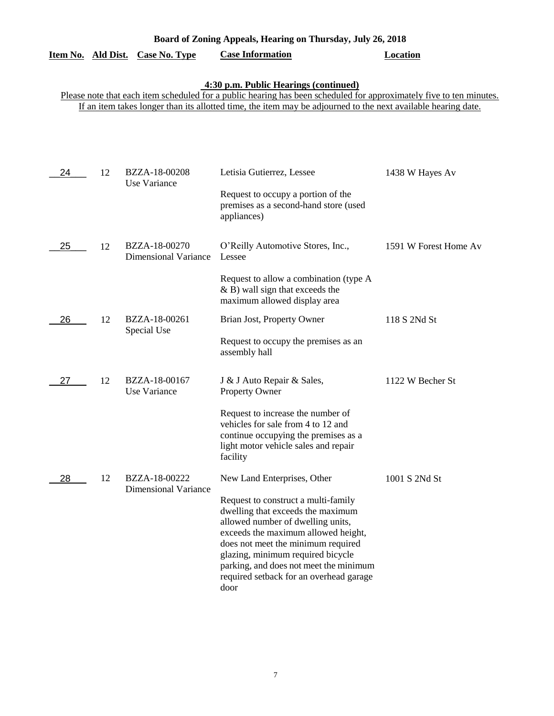| Board of Zoning Appeals, Hearing on Thursday, July 26, 2018 |  |  |  |
|-------------------------------------------------------------|--|--|--|
|                                                             |  |  |  |

|  |  | Item No. Ald Dist. Case No. Type | <b>Case Information</b> | Location |
|--|--|----------------------------------|-------------------------|----------|
|--|--|----------------------------------|-------------------------|----------|

#### **4:30 p.m. Public Hearings (continued)**

| 24 | 12 | BZZA-18-00208<br>Use Variance                | Letisia Gutierrez, Lessee                                                                                                                                                                                                                                                                                                                                   | 1438 W Hayes Av       |
|----|----|----------------------------------------------|-------------------------------------------------------------------------------------------------------------------------------------------------------------------------------------------------------------------------------------------------------------------------------------------------------------------------------------------------------------|-----------------------|
|    |    |                                              | Request to occupy a portion of the<br>premises as a second-hand store (used<br>appliances)                                                                                                                                                                                                                                                                  |                       |
| 25 | 12 | BZZA-18-00270<br><b>Dimensional Variance</b> | O'Reilly Automotive Stores, Inc.,<br>Lessee                                                                                                                                                                                                                                                                                                                 | 1591 W Forest Home Av |
|    |    |                                              | Request to allow a combination (type A<br>$\&$ B) wall sign that exceeds the<br>maximum allowed display area                                                                                                                                                                                                                                                |                       |
| 26 | 12 | BZZA-18-00261                                | Brian Jost, Property Owner                                                                                                                                                                                                                                                                                                                                  | 118 S 2Nd St          |
|    |    | Special Use                                  | Request to occupy the premises as an<br>assembly hall                                                                                                                                                                                                                                                                                                       |                       |
| 27 | 12 | BZZA-18-00167<br>Use Variance                | J & J Auto Repair & Sales,<br>Property Owner                                                                                                                                                                                                                                                                                                                | 1122 W Becher St      |
|    |    |                                              | Request to increase the number of<br>vehicles for sale from 4 to 12 and<br>continue occupying the premises as a<br>light motor vehicle sales and repair<br>facility                                                                                                                                                                                         |                       |
| 28 | 12 | BZZA-18-00222<br><b>Dimensional Variance</b> | New Land Enterprises, Other<br>Request to construct a multi-family<br>dwelling that exceeds the maximum<br>allowed number of dwelling units,<br>exceeds the maximum allowed height,<br>does not meet the minimum required<br>glazing, minimum required bicycle<br>parking, and does not meet the minimum<br>required setback for an overhead garage<br>door | 1001 S 2Nd St         |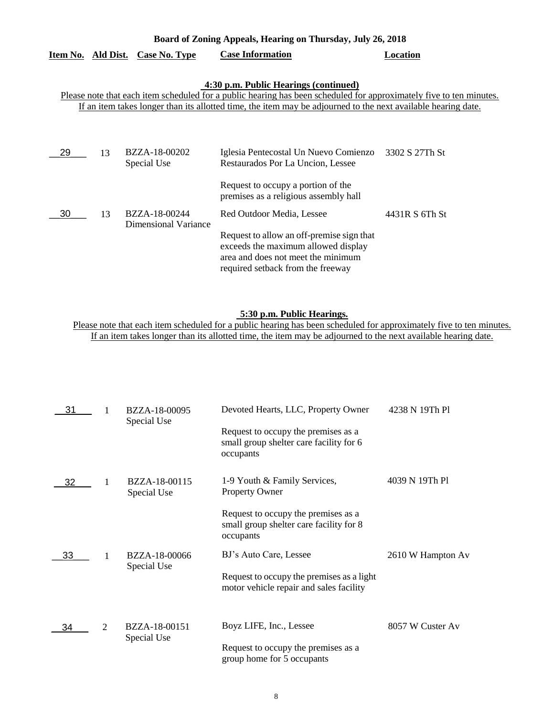| Board of Zoning Appeals, Hearing on Thursday, July 26, 2018 |    |                                              |                                                                                                                                                                                                                                                                               |                |
|-------------------------------------------------------------|----|----------------------------------------------|-------------------------------------------------------------------------------------------------------------------------------------------------------------------------------------------------------------------------------------------------------------------------------|----------------|
| Item No. Ald Dist.                                          |    | <b>Case No. Type</b>                         | <b>Case Information</b>                                                                                                                                                                                                                                                       | Location       |
|                                                             |    |                                              | 4:30 p.m. Public Hearings (continued)<br>Please note that each item scheduled for a public hearing has been scheduled for approximately five to ten minutes.<br>If an item takes longer than its allotted time, the item may be adjourned to the next available hearing date. |                |
| 29                                                          | 13 | BZZA-18-00202<br>Special Use                 | Iglesia Pentecostal Un Nuevo Comienzo<br>Restaurados Por La Uncion, Lessee                                                                                                                                                                                                    | 3302 S 27Th St |
|                                                             |    |                                              | Request to occupy a portion of the<br>premises as a religious assembly hall                                                                                                                                                                                                   |                |
| 30                                                          | 13 | BZZA-18-00244<br><b>Dimensional Variance</b> | Red Outdoor Media, Lessee                                                                                                                                                                                                                                                     | 4431R S 6Th St |
|                                                             |    |                                              | Request to allow an off-premise sign that<br>exceeds the maximum allowed display<br>area and does not meet the minimum<br>required setback from the freeway                                                                                                                   |                |

### **5:30 p.m. Public Hearings.**

| 31 |                | BZZA-18-00095<br>Special Use | Devoted Hearts, LLC, Property Owner                                                         | 4238 N 19Th Pl    |
|----|----------------|------------------------------|---------------------------------------------------------------------------------------------|-------------------|
|    |                |                              | Request to occupy the premises as a<br>small group shelter care facility for 6<br>occupants |                   |
| 32 |                | BZZA-18-00115<br>Special Use | 1-9 Youth & Family Services,<br><b>Property Owner</b>                                       | 4039 N 19Th Pl    |
|    |                |                              | Request to occupy the premises as a<br>small group shelter care facility for 8<br>occupants |                   |
| 33 |                | BZZA-18-00066                | BJ's Auto Care, Lessee                                                                      | 2610 W Hampton Av |
|    |                | Special Use                  | Request to occupy the premises as a light<br>motor vehicle repair and sales facility        |                   |
| 34 | $\overline{2}$ | BZZA-18-00151<br>Special Use | Boyz LIFE, Inc., Lessee                                                                     | 8057 W Custer Av  |
|    |                |                              | Request to occupy the premises as a<br>group home for 5 occupants                           |                   |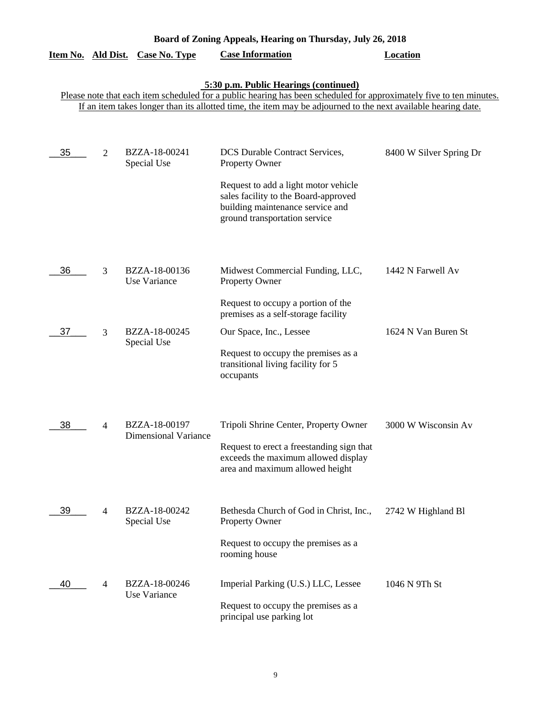| Board of Zoning Appeals, Hearing on Thursday, July 26, 2018 |                |                                       |                                                                                                                                                                                                                                                                               |                         |
|-------------------------------------------------------------|----------------|---------------------------------------|-------------------------------------------------------------------------------------------------------------------------------------------------------------------------------------------------------------------------------------------------------------------------------|-------------------------|
| Item No. Ald Dist.                                          |                | <b>Case No. Type</b>                  | <b>Case Information</b>                                                                                                                                                                                                                                                       | <b>Location</b>         |
|                                                             |                |                                       | 5:30 p.m. Public Hearings (continued)<br>Please note that each item scheduled for a public hearing has been scheduled for approximately five to ten minutes.<br>If an item takes longer than its allotted time, the item may be adjourned to the next available hearing date. |                         |
| 35                                                          | $\overline{2}$ | BZZA-18-00241<br>Special Use          | <b>DCS</b> Durable Contract Services,<br><b>Property Owner</b><br>Request to add a light motor vehicle<br>sales facility to the Board-approved<br>building maintenance service and<br>ground transportation service                                                           | 8400 W Silver Spring Dr |
| 36                                                          | 3              | BZZA-18-00136<br>Use Variance         | Midwest Commercial Funding, LLC,<br><b>Property Owner</b>                                                                                                                                                                                                                     | 1442 N Farwell Av       |
|                                                             |                |                                       | Request to occupy a portion of the<br>premises as a self-storage facility                                                                                                                                                                                                     |                         |
| 37                                                          | 3              | BZZA-18-00245<br>Special Use          | Our Space, Inc., Lessee<br>Request to occupy the premises as a<br>transitional living facility for 5<br>occupants                                                                                                                                                             | 1624 N Van Buren St     |
| 38                                                          | 4              | BZZA-18-00197<br>Dimensional Variance | Tripoli Shrine Center, Property Owner<br>Request to erect a freestanding sign that<br>exceeds the maximum allowed display<br>area and maximum allowed height                                                                                                                  | 3000 W Wisconsin Av     |
| 39                                                          | $\overline{4}$ | BZZA-18-00242<br>Special Use          | Bethesda Church of God in Christ, Inc.,<br><b>Property Owner</b><br>Request to occupy the premises as a<br>rooming house                                                                                                                                                      | 2742 W Highland Bl      |
| 40                                                          | 4              | BZZA-18-00246<br>Use Variance         | Imperial Parking (U.S.) LLC, Lessee<br>Request to occupy the premises as a<br>principal use parking lot                                                                                                                                                                       | 1046 N 9Th St           |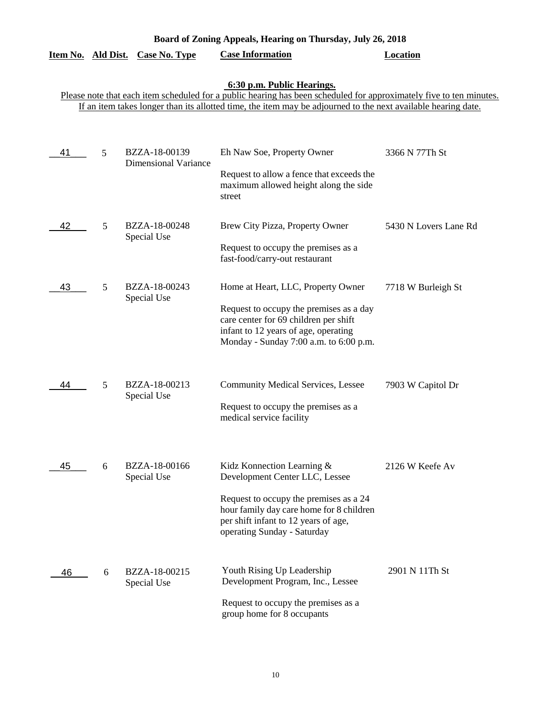|    |   | Item No. Ald Dist. Case No. Type             | <b>Case Information</b>                                                                                                                                                                                                                                            | <b>Location</b>       |
|----|---|----------------------------------------------|--------------------------------------------------------------------------------------------------------------------------------------------------------------------------------------------------------------------------------------------------------------------|-----------------------|
|    |   |                                              | 6:30 p.m. Public Hearings.<br>Please note that each item scheduled for a public hearing has been scheduled for approximately five to ten minutes.<br>If an item takes longer than its allotted time, the item may be adjourned to the next available hearing date. |                       |
| 41 | 5 | BZZA-18-00139<br><b>Dimensional Variance</b> | Eh Naw Soe, Property Owner<br>Request to allow a fence that exceeds the<br>maximum allowed height along the side<br>street                                                                                                                                         | 3366 N 77Th St        |
| 42 | 5 | BZZA-18-00248<br>Special Use                 | Brew City Pizza, Property Owner<br>Request to occupy the premises as a<br>fast-food/carry-out restaurant                                                                                                                                                           | 5430 N Lovers Lane Rd |
| 43 | 5 | BZZA-18-00243<br>Special Use                 | Home at Heart, LLC, Property Owner<br>Request to occupy the premises as a day<br>care center for 69 children per shift<br>infant to 12 years of age, operating<br>Monday - Sunday 7:00 a.m. to 6:00 p.m.                                                           | 7718 W Burleigh St    |
| 44 | 5 | BZZA-18-00213<br>Special Use                 | <b>Community Medical Services, Lessee</b><br>Request to occupy the premises as a<br>medical service facility                                                                                                                                                       | 7903 W Capitol Dr     |
| 45 | 6 | BZZA-18-00166<br>Special Use                 | Kidz Konnection Learning &<br>Development Center LLC, Lessee<br>Request to occupy the premises as a 24<br>hour family day care home for 8 children<br>per shift infant to 12 years of age,<br>operating Sunday - Saturday                                          | 2126 W Keefe Av       |
| 46 | 6 | BZZA-18-00215<br>Special Use                 | Youth Rising Up Leadership<br>Development Program, Inc., Lessee<br>Request to occupy the premises as a<br>group home for 8 occupants                                                                                                                               | 2901 N 11Th St        |

**Board of Zoning Appeals, Hearing on Thursday, July 26, 2018**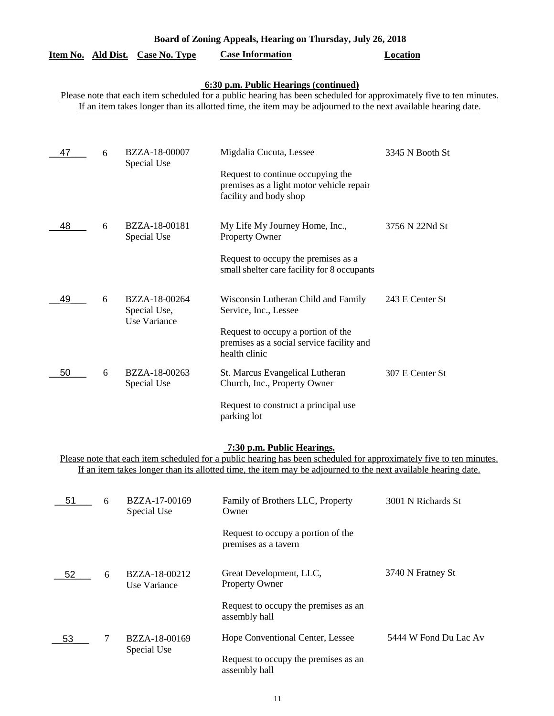| Board of Zoning Appeals, Hearing on Thursday, July 26, 2018 |  |
|-------------------------------------------------------------|--|
|                                                             |  |

# **Item No. Ald Dist. Case No. Type Case Information Location**

# **6:30 p.m. Public Hearings (continued)**

Please note that each item scheduled for a public hearing has been scheduled for approximately five to ten minutes. If an item takes longer than its allotted time, the item may be adjourned to the next available hearing date.

| 47 | 6 | BZZA-18-00007<br>Special Use                  | Migdalia Cucuta, Lessee                                                                                 | 3345 N Booth St |
|----|---|-----------------------------------------------|---------------------------------------------------------------------------------------------------------|-----------------|
|    |   |                                               | Request to continue occupying the<br>premises as a light motor vehicle repair<br>facility and body shop |                 |
| 48 | 6 | BZZA-18-00181<br>Special Use                  | My Life My Journey Home, Inc.,<br><b>Property Owner</b>                                                 | 3756 N 22Nd St  |
|    |   |                                               | Request to occupy the premises as a<br>small shelter care facility for 8 occupants                      |                 |
| 49 | 6 | BZZA-18-00264<br>Special Use,<br>Use Variance | Wisconsin Lutheran Child and Family<br>Service, Inc., Lessee                                            | 243 E Center St |
|    |   |                                               | Request to occupy a portion of the<br>premises as a social service facility and<br>health clinic        |                 |
| 50 | 6 | BZZA-18-00263<br>Special Use                  | St. Marcus Evangelical Lutheran<br>Church, Inc., Property Owner                                         | 307 E Center St |
|    |   |                                               | Request to construct a principal use<br>parking lot                                                     |                 |

## **7:30 p.m. Public Hearings.**

| 51 | 6 | BZZA-17-00169<br>Special Use  | Family of Brothers LLC, Property<br>Owner                  | 3001 N Richards St    |
|----|---|-------------------------------|------------------------------------------------------------|-----------------------|
|    |   |                               | Request to occupy a portion of the<br>premises as a tavern |                       |
| 52 | 6 | BZZA-18-00212<br>Use Variance | Great Development, LLC,<br><b>Property Owner</b>           | 3740 N Fratney St     |
|    |   |                               | Request to occupy the premises as an<br>assembly hall      |                       |
| 53 |   | BZZA-18-00169                 | Hope Conventional Center, Lessee                           | 5444 W Fond Du Lac Av |
|    |   | Special Use                   | Request to occupy the premises as an<br>assembly hall      |                       |